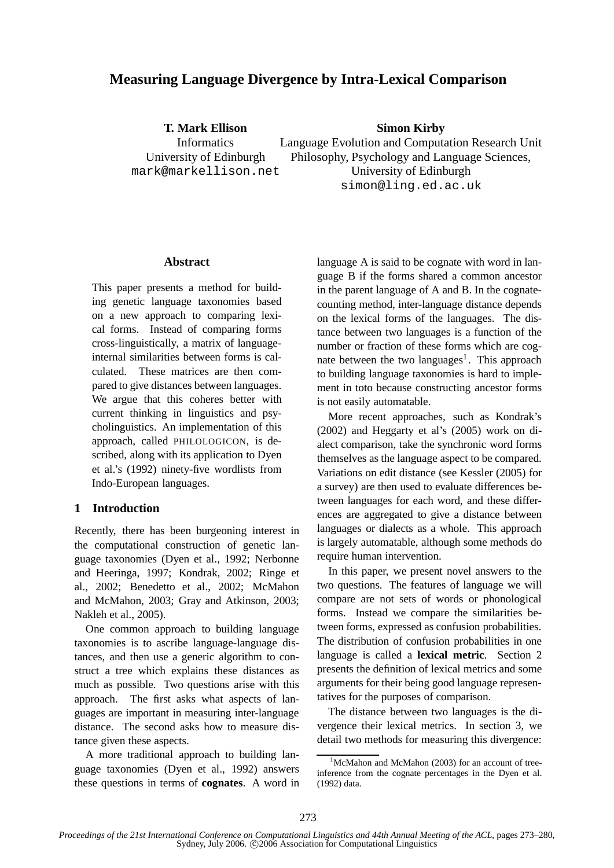# **Measuring Language Divergence by Intra-Lexical Comparison**

**T. Mark Ellison Informatics** University of Edinburgh mark@markellison.net **Simon Kirby**

Language Evolution and Computation Research Unit Philosophy, Psychology and Language Sciences, University of Edinburgh simon@ling.ed.ac.uk

## **Abstract**

This paper presents a method for building genetic language taxonomies based on a new approach to comparing lexical forms. Instead of comparing forms cross-linguistically, a matrix of languageinternal similarities between forms is calculated. These matrices are then compared to give distances between languages. We argue that this coheres better with current thinking in linguistics and psycholinguistics. An implementation of this approach, called PHILOLOGICON, is described, along with its application to Dyen et al.'s (1992) ninety-five wordlists from Indo-European languages.

## **1 Introduction**

Recently, there has been burgeoning interest in the computational construction of genetic language taxonomies (Dyen et al., 1992; Nerbonne and Heeringa, 1997; Kondrak, 2002; Ringe et al., 2002; Benedetto et al., 2002; McMahon and McMahon, 2003; Gray and Atkinson, 2003; Nakleh et al., 2005).

One common approach to building language taxonomies is to ascribe language-language distances, and then use a generic algorithm to construct a tree which explains these distances as much as possible. Two questions arise with this approach. The first asks what aspects of languages are important in measuring inter-language distance. The second asks how to measure distance given these aspects.

A more traditional approach to building language taxonomies (Dyen et al., 1992) answers these questions in terms of **cognates**. A word in language A is said to be cognate with word in language B if the forms shared a common ancestor in the parent language of A and B. In the cognatecounting method, inter-language distance depends on the lexical forms of the languages. The distance between two languages is a function of the number or fraction of these forms which are cognate between the two languages<sup>1</sup>. This approach to building language taxonomies is hard to implement in toto because constructing ancestor forms is not easily automatable.

More recent approaches, such as Kondrak's (2002) and Heggarty et al's (2005) work on dialect comparison, take the synchronic word forms themselves as the language aspect to be compared. Variations on edit distance (see Kessler (2005) for a survey) are then used to evaluate differences between languages for each word, and these differences are aggregated to give a distance between languages or dialects as a whole. This approach is largely automatable, although some methods do require human intervention.

In this paper, we present novel answers to the two questions. The features of language we will compare are not sets of words or phonological forms. Instead we compare the similarities between forms, expressed as confusion probabilities. The distribution of confusion probabilities in one language is called a **lexical metric**. Section 2 presents the definition of lexical metrics and some arguments for their being good language representatives for the purposes of comparison.

The distance between two languages is the divergence their lexical metrics. In section 3, we detail two methods for measuring this divergence:

 $1$ McMahon and McMahon (2003) for an account of treeinference from the cognate percentages in the Dyen et al. (1992) data.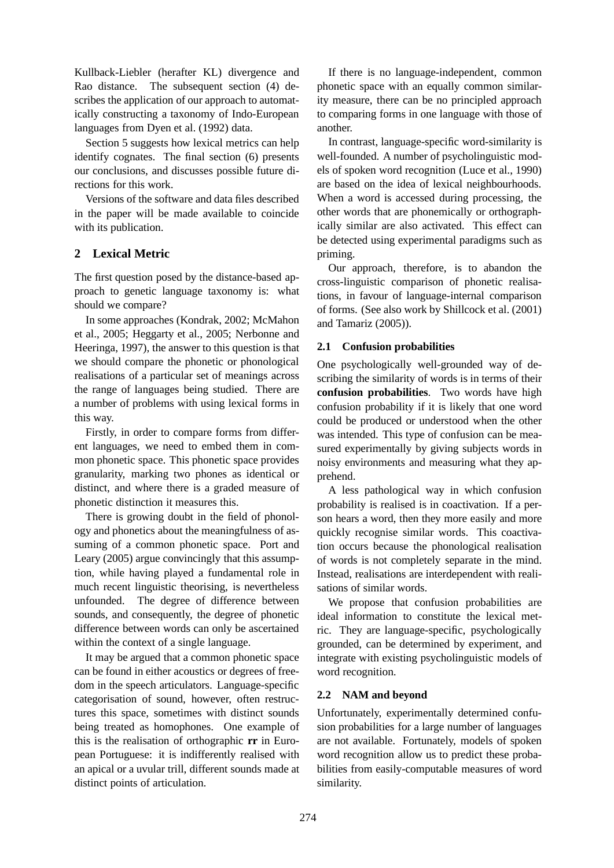Kullback-Liebler (herafter KL) divergence and Rao distance. The subsequent section (4) describes the application of our approach to automatically constructing a taxonomy of Indo-European languages from Dyen et al. (1992) data.

Section 5 suggests how lexical metrics can help identify cognates. The final section (6) presents our conclusions, and discusses possible future directions for this work.

Versions of the software and data files described in the paper will be made available to coincide with its publication.

# **2 Lexical Metric**

The first question posed by the distance-based approach to genetic language taxonomy is: what should we compare?

In some approaches (Kondrak, 2002; McMahon et al., 2005; Heggarty et al., 2005; Nerbonne and Heeringa, 1997), the answer to this question is that we should compare the phonetic or phonological realisations of a particular set of meanings across the range of languages being studied. There are a number of problems with using lexical forms in this way.

Firstly, in order to compare forms from different languages, we need to embed them in common phonetic space. This phonetic space provides granularity, marking two phones as identical or distinct, and where there is a graded measure of phonetic distinction it measures this.

There is growing doubt in the field of phonology and phonetics about the meaningfulness of assuming of a common phonetic space. Port and Leary (2005) argue convincingly that this assumption, while having played a fundamental role in much recent linguistic theorising, is nevertheless unfounded. The degree of difference between sounds, and consequently, the degree of phonetic difference between words can only be ascertained within the context of a single language.

It may be argued that a common phonetic space can be found in either acoustics or degrees of freedom in the speech articulators. Language-specific categorisation of sound, however, often restructures this space, sometimes with distinct sounds being treated as homophones. One example of this is the realisation of orthographic **rr** in European Portuguese: it is indifferently realised with an apical or a uvular trill, different sounds made at distinct points of articulation.

If there is no language-independent, common phonetic space with an equally common similarity measure, there can be no principled approach to comparing forms in one language with those of another.

In contrast, language-specific word-similarity is well-founded. A number of psycholinguistic models of spoken word recognition (Luce et al., 1990) are based on the idea of lexical neighbourhoods. When a word is accessed during processing, the other words that are phonemically or orthographically similar are also activated. This effect can be detected using experimental paradigms such as priming.

Our approach, therefore, is to abandon the cross-linguistic comparison of phonetic realisations, in favour of language-internal comparison of forms. (See also work by Shillcock et al. (2001) and Tamariz (2005)).

## **2.1 Confusion probabilities**

One psychologically well-grounded way of describing the similarity of words is in terms of their **confusion probabilities**. Two words have high confusion probability if it is likely that one word could be produced or understood when the other was intended. This type of confusion can be measured experimentally by giving subjects words in noisy environments and measuring what they apprehend.

A less pathological way in which confusion probability is realised is in coactivation. If a person hears a word, then they more easily and more quickly recognise similar words. This coactivation occurs because the phonological realisation of words is not completely separate in the mind. Instead, realisations are interdependent with realisations of similar words.

We propose that confusion probabilities are ideal information to constitute the lexical metric. They are language-specific, psychologically grounded, can be determined by experiment, and integrate with existing psycholinguistic models of word recognition.

## **2.2 NAM and beyond**

Unfortunately, experimentally determined confusion probabilities for a large number of languages are not available. Fortunately, models of spoken word recognition allow us to predict these probabilities from easily-computable measures of word similarity.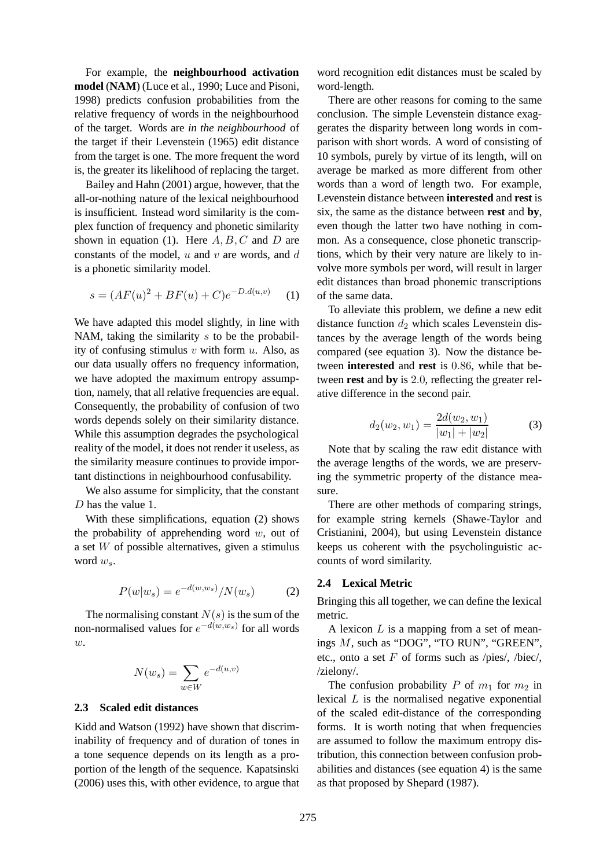For example, the **neighbourhood activation model** (**NAM**) (Luce et al., 1990; Luce and Pisoni, 1998) predicts confusion probabilities from the relative frequency of words in the neighbourhood of the target. Words are *in the neighbourhood* of the target if their Levenstein (1965) edit distance from the target is one. The more frequent the word is, the greater its likelihood of replacing the target.

Bailey and Hahn (2001) argue, however, that the all-or-nothing nature of the lexical neighbourhood is insufficient. Instead word similarity is the complex function of frequency and phonetic similarity shown in equation (1). Here  $A, B, C$  and  $D$  are constants of the model,  $u$  and  $v$  are words, and  $d$ is a phonetic similarity model.

$$
s = (AF(u)^{2} + BF(u) + C)e^{-D.d(u,v)}
$$
 (1)

We have adapted this model slightly, in line with NAM, taking the similarity  $s$  to be the probability of confusing stimulus  $v$  with form  $u$ . Also, as our data usually offers no frequency information, we have adopted the maximum entropy assumption, namely, that all relative frequencies are equal. Consequently, the probability of confusion of two words depends solely on their similarity distance. While this assumption degrades the psychological reality of the model, it does not render it useless, as the similarity measure continues to provide important distinctions in neighbourhood confusability.

We also assume for simplicity, that the constant D has the value 1.

With these simplifications, equation (2) shows the probability of apprehending word  $w$ , out of a set  $W$  of possible alternatives, given a stimulus word  $w_s$ .

$$
P(w|w_s) = e^{-d(w,w_s)} / N(w_s)
$$
 (2)

The normalising constant  $N(s)$  is the sum of the non-normalised values for  $e^{-d(w,w_s)}$  for all words  $w.$ 

$$
N(w_s) = \sum_{w \in W} e^{-d(u,v)}
$$

## **2.3 Scaled edit distances**

Kidd and Watson (1992) have shown that discriminability of frequency and of duration of tones in a tone sequence depends on its length as a proportion of the length of the sequence. Kapatsinski (2006) uses this, with other evidence, to argue that word recognition edit distances must be scaled by word-length.

There are other reasons for coming to the same conclusion. The simple Levenstein distance exaggerates the disparity between long words in comparison with short words. A word of consisting of 10 symbols, purely by virtue of its length, will on average be marked as more different from other words than a word of length two. For example, Levenstein distance between **interested** and **rest** is six, the same as the distance between **rest** and **by**, even though the latter two have nothing in common. As a consequence, close phonetic transcriptions, which by their very nature are likely to involve more symbols per word, will result in larger edit distances than broad phonemic transcriptions of the same data.

To alleviate this problem, we define a new edit distance function  $d_2$  which scales Levenstein distances by the average length of the words being compared (see equation 3). Now the distance between **interested** and **rest** is 0.86, while that between **rest** and **by** is 2.0, reflecting the greater relative difference in the second pair.

$$
d_2(w_2, w_1) = \frac{2d(w_2, w_1)}{|w_1| + |w_2|}
$$
 (3)

Note that by scaling the raw edit distance with the average lengths of the words, we are preserving the symmetric property of the distance measure.

There are other methods of comparing strings, for example string kernels (Shawe-Taylor and Cristianini, 2004), but using Levenstein distance keeps us coherent with the psycholinguistic accounts of word similarity.

#### **2.4 Lexical Metric**

Bringing this all together, we can define the lexical metric.

A lexicon  $L$  is a mapping from a set of meanings M, such as "DOG", "TO RUN", "GREEN", etc., onto a set  $F$  of forms such as /pies/, /biec/, /zielony/.

The confusion probability P of  $m_1$  for  $m_2$  in lexical  $L$  is the normalised negative exponential of the scaled edit-distance of the corresponding forms. It is worth noting that when frequencies are assumed to follow the maximum entropy distribution, this connection between confusion probabilities and distances (see equation 4) is the same as that proposed by Shepard (1987).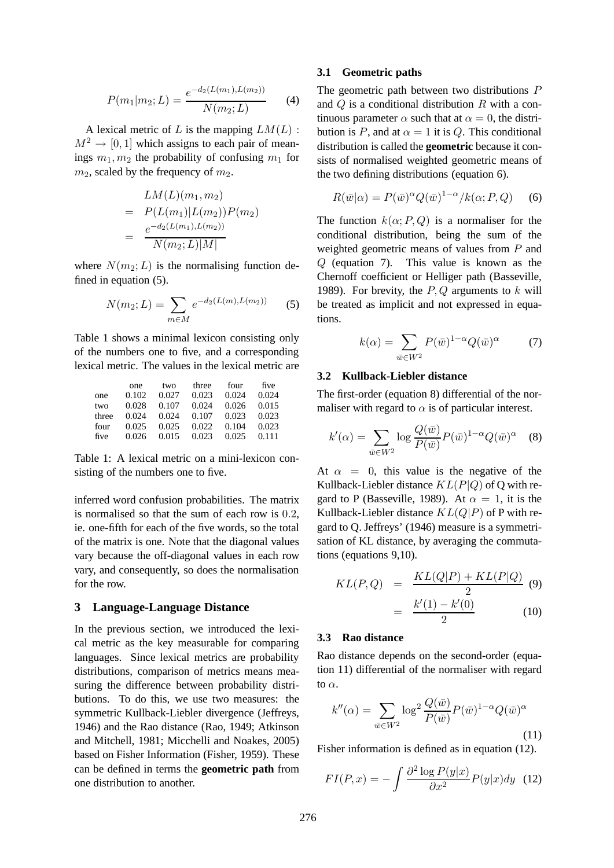$$
P(m_1|m_2;L) = \frac{e^{-d_2(L(m_1),L(m_2))}}{N(m_2;L)}\tag{4}
$$

A lexical metric of L is the mapping  $LM(L)$ :  $M^2 \rightarrow [0, 1]$  which assigns to each pair of meanings  $m_1, m_2$  the probability of confusing  $m_1$  for  $m_2$ , scaled by the frequency of  $m_2$ .

$$
LM(L)(m_1, m_2)
$$
  
=  $P(L(m_1)|L(m_2))P(m_2)$   
=  $\frac{e^{-d_2(L(m_1), L(m_2))}}{N(m_2; L)|M|}$ 

where  $N(m_2; L)$  is the normalising function defined in equation (5).

$$
N(m_2; L) = \sum_{m \in M} e^{-d_2(L(m), L(m_2))} \tag{5}
$$

Table 1 shows a minimal lexicon consisting only of the numbers one to five, and a corresponding lexical metric. The values in the lexical metric are

|       | one   | two   | three | four  | five  |
|-------|-------|-------|-------|-------|-------|
| one   | 0.102 | 0.027 | 0.023 | 0.024 | 0.024 |
| two   | 0.028 | 0.107 | 0.024 | 0.026 | 0.015 |
| three | 0.024 | 0.024 | 0.107 | 0.023 | 0.023 |
| four  | 0.025 | 0.025 | 0.022 | 0.104 | 0.023 |
| five  | 0.026 | 0.015 | 0.023 | 0.025 | 0.111 |

Table 1: A lexical metric on a mini-lexicon consisting of the numbers one to five.

inferred word confusion probabilities. The matrix is normalised so that the sum of each row is 0.2, ie. one-fifth for each of the five words, so the total of the matrix is one. Note that the diagonal values vary because the off-diagonal values in each row vary, and consequently, so does the normalisation for the row.

## **3 Language-Language Distance**

In the previous section, we introduced the lexical metric as the key measurable for comparing languages. Since lexical metrics are probability distributions, comparison of metrics means measuring the difference between probability distributions. To do this, we use two measures: the symmetric Kullback-Liebler divergence (Jeffreys, 1946) and the Rao distance (Rao, 1949; Atkinson and Mitchell, 1981; Micchelli and Noakes, 2005) based on Fisher Information (Fisher, 1959). These can be defined in terms the **geometric path** from one distribution to another.

## **3.1 Geometric paths**

The geometric path between two distributions P and  $Q$  is a conditional distribution  $R$  with a continuous parameter  $\alpha$  such that at  $\alpha = 0$ , the distribution is P, and at  $\alpha = 1$  it is Q. This conditional distribution is called the **geometric** because it consists of normalised weighted geometric means of the two defining distributions (equation 6).

$$
R(\bar{w}|\alpha) = P(\bar{w})^{\alpha} Q(\bar{w})^{1-\alpha}/k(\alpha; P, Q) \quad (6)
$$

The function  $k(\alpha; P, Q)$  is a normaliser for the conditional distribution, being the sum of the weighted geometric means of values from P and Q (equation 7). This value is known as the Chernoff coefficient or Helliger path (Basseville, 1989). For brevity, the  $P, Q$  arguments to k will be treated as implicit and not expressed in equations.

$$
k(\alpha) = \sum_{\bar{w} \in W^2} P(\bar{w})^{1-\alpha} Q(\bar{w})^{\alpha} \tag{7}
$$

#### **3.2 Kullback-Liebler distance**

The first-order (equation 8) differential of the normaliser with regard to  $\alpha$  is of particular interest.

$$
k'(\alpha) = \sum_{\bar{w} \in W^2} \log \frac{Q(\bar{w})}{P(\bar{w})} P(\bar{w})^{1-\alpha} Q(\bar{w})^{\alpha} \quad (8)
$$

At  $\alpha = 0$ , this value is the negative of the Kullback-Liebler distance  $KL(P|Q)$  of Q with regard to P (Basseville, 1989). At  $\alpha = 1$ , it is the Kullback-Liebler distance  $KL(Q|P)$  of P with regard to Q. Jeffreys' (1946) measure is a symmetrisation of KL distance, by averaging the commutations (equations 9,10).

$$
KL(P,Q) = \frac{KL(Q|P) + KL(P|Q)}{2} \quad (9)
$$

$$
= \frac{k'(1) - k'(0)}{2} \quad (10)
$$

#### **3.3 Rao distance**

Rao distance depends on the second-order (equation 11) differential of the normaliser with regard to  $\alpha$ .

$$
k''(\alpha) = \sum_{\bar{w} \in W^2} \log^2 \frac{Q(\bar{w})}{P(\bar{w})} P(\bar{w})^{1-\alpha} Q(\bar{w})^{\alpha}
$$
\n(11)

Fisher information is defined as in equation (12).

$$
FI(P, x) = -\int \frac{\partial^2 \log P(y|x)}{\partial x^2} P(y|x) dy \quad (12)
$$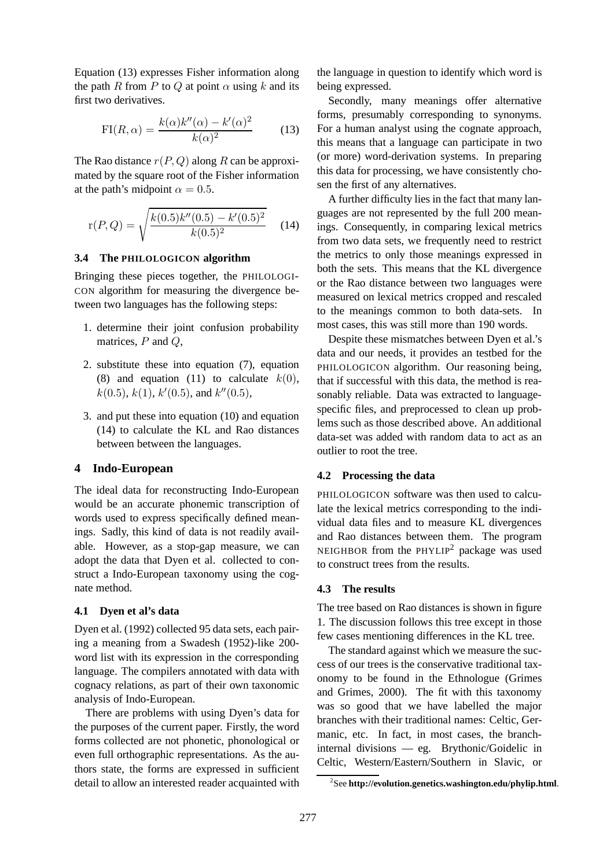Equation (13) expresses Fisher information along the path R from P to Q at point  $\alpha$  using k and its first two derivatives.

$$
\text{FI}(R,\alpha) = \frac{k(\alpha)k''(\alpha) - k'(\alpha)^2}{k(\alpha)^2} \tag{13}
$$

The Rao distance  $r(P,Q)$  along R can be approximated by the square root of the Fisher information at the path's midpoint  $\alpha = 0.5$ .

$$
\mathbf{r}(P,Q) = \sqrt{\frac{k(0.5)k''(0.5) - k'(0.5)^2}{k(0.5)^2}} \quad (14)
$$

## **3.4 The PHILOLOGICON algorithm**

Bringing these pieces together, the PHILOLOGI-CON algorithm for measuring the divergence between two languages has the following steps:

- 1. determine their joint confusion probability matrices,  $P$  and  $Q$ ,
- 2. substitute these into equation (7), equation (8) and equation (11) to calculate  $k(0)$ ,  $k(0.5), k(1), k'(0.5)$ , and  $k''(0.5)$ ,
- 3. and put these into equation (10) and equation (14) to calculate the KL and Rao distances between between the languages.

## **4 Indo-European**

The ideal data for reconstructing Indo-European would be an accurate phonemic transcription of words used to express specifically defined meanings. Sadly, this kind of data is not readily available. However, as a stop-gap measure, we can adopt the data that Dyen et al. collected to construct a Indo-European taxonomy using the cognate method.

## **4.1 Dyen et al's data**

Dyen et al. (1992) collected 95 data sets, each pairing a meaning from a Swadesh (1952)-like 200 word list with its expression in the corresponding language. The compilers annotated with data with cognacy relations, as part of their own taxonomic analysis of Indo-European.

There are problems with using Dyen's data for the purposes of the current paper. Firstly, the word forms collected are not phonetic, phonological or even full orthographic representations. As the authors state, the forms are expressed in sufficient detail to allow an interested reader acquainted with the language in question to identify which word is being expressed.

Secondly, many meanings offer alternative forms, presumably corresponding to synonyms. For a human analyst using the cognate approach, this means that a language can participate in two (or more) word-derivation systems. In preparing this data for processing, we have consistently chosen the first of any alternatives.

A further difficulty lies in the fact that many languages are not represented by the full 200 meanings. Consequently, in comparing lexical metrics from two data sets, we frequently need to restrict the metrics to only those meanings expressed in both the sets. This means that the KL divergence or the Rao distance between two languages were measured on lexical metrics cropped and rescaled to the meanings common to both data-sets. In most cases, this was still more than 190 words.

Despite these mismatches between Dyen et al.'s data and our needs, it provides an testbed for the PHILOLOGICON algorithm. Our reasoning being, that if successful with this data, the method is reasonably reliable. Data was extracted to languagespecific files, and preprocessed to clean up problems such as those described above. An additional data-set was added with random data to act as an outlier to root the tree.

## **4.2 Processing the data**

PHILOLOGICON software was then used to calculate the lexical metrics corresponding to the individual data files and to measure KL divergences and Rao distances between them. The program NEIGHBOR from the PHYLIP<sup>2</sup> package was used to construct trees from the results.

## **4.3 The results**

The tree based on Rao distances is shown in figure 1. The discussion follows this tree except in those few cases mentioning differences in the KL tree.

The standard against which we measure the success of our trees is the conservative traditional taxonomy to be found in the Ethnologue (Grimes and Grimes, 2000). The fit with this taxonomy was so good that we have labelled the major branches with their traditional names: Celtic, Germanic, etc. In fact, in most cases, the branchinternal divisions — eg. Brythonic/Goidelic in Celtic, Western/Eastern/Southern in Slavic, or

<sup>2</sup> See **http://evolution.genetics.washington.edu/phylip.html**.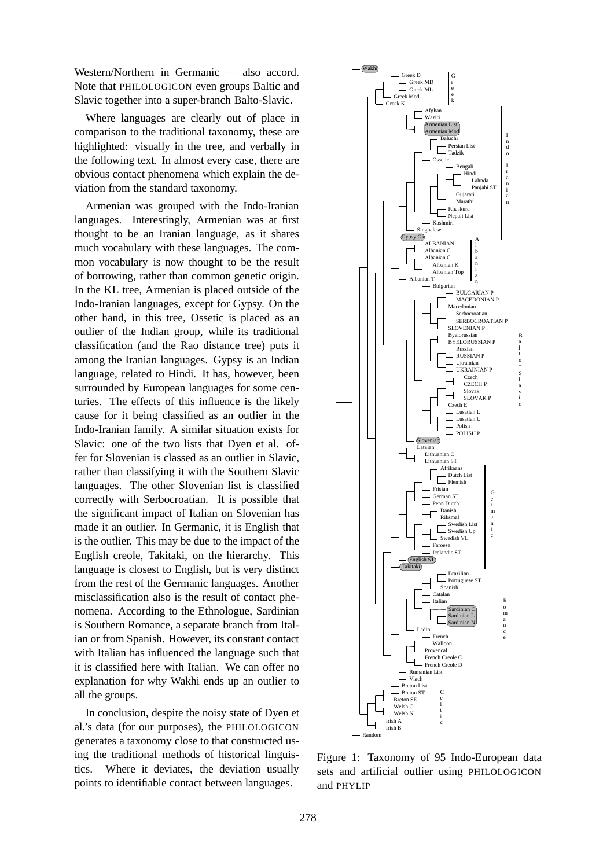Western/Northern in Germanic — also accord. Note that PHILOLOGICON even groups Baltic and Slavic together into a super-branch Balto-Slavic.

Where languages are clearly out of place in comparison to the traditional taxonomy, these are highlighted: visually in the tree, and verbally in the following text. In almost every case, there are obvious contact phenomena which explain the deviation from the standard taxonomy.

Armenian was grouped with the Indo-Iranian languages. Interestingly, Armenian was at first thought to be an Iranian language, as it shares much vocabulary with these languages. The common vocabulary is now thought to be the result of borrowing, rather than common genetic origin. In the KL tree, Armenian is placed outside of the Indo-Iranian languages, except for Gypsy. On the other hand, in this tree, Ossetic is placed as an outlier of the Indian group, while its traditional classification (and the Rao distance tree) puts it among the Iranian languages. Gypsy is an Indian language, related to Hindi. It has, however, been surrounded by European languages for some centuries. The effects of this influence is the likely cause for it being classified as an outlier in the Indo-Iranian family. A similar situation exists for Slavic: one of the two lists that Dyen et al. offer for Slovenian is classed as an outlier in Slavic, rather than classifying it with the Southern Slavic languages. The other Slovenian list is classified correctly with Serbocroatian. It is possible that the significant impact of Italian on Slovenian has made it an outlier. In Germanic, it is English that is the outlier. This may be due to the impact of the English creole, Takitaki, on the hierarchy. This language is closest to English, but is very distinct from the rest of the Germanic languages. Another misclassification also is the result of contact phenomena. According to the Ethnologue, Sardinian is Southern Romance, a separate branch from Italian or from Spanish. However, its constant contact with Italian has influenced the language such that it is classified here with Italian. We can offer no explanation for why Wakhi ends up an outlier to all the groups.

In conclusion, despite the noisy state of Dyen et al.'s data (for our purposes), the PHILOLOGICON generates a taxonomy close to that constructed using the traditional methods of historical linguistics. Where it deviates, the deviation usually points to identifiable contact between languages.



Figure 1: Taxonomy of 95 Indo-European data sets and artificial outlier using PHILOLOGICON and PHYLIP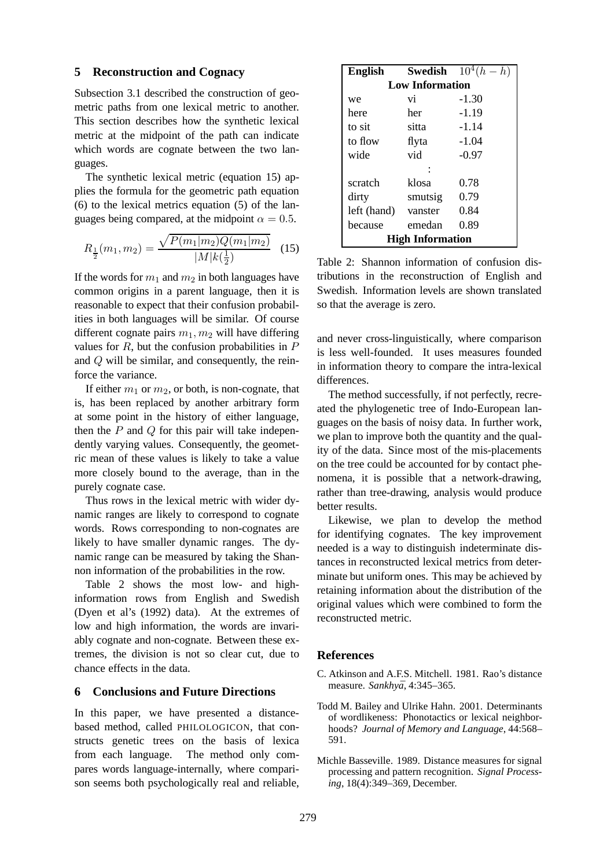## **5 Reconstruction and Cognacy**

Subsection 3.1 described the construction of geometric paths from one lexical metric to another. This section describes how the synthetic lexical metric at the midpoint of the path can indicate which words are cognate between the two languages.

The synthetic lexical metric (equation 15) applies the formula for the geometric path equation (6) to the lexical metrics equation (5) of the languages being compared, at the midpoint  $\alpha = 0.5$ .

$$
R_{\frac{1}{2}}(m_1, m_2) = \frac{\sqrt{P(m_1|m_2)Q(m_1|m_2)}}{|M|k(\frac{1}{2})}
$$
 (15)

If the words for  $m_1$  and  $m_2$  in both languages have common origins in a parent language, then it is reasonable to expect that their confusion probabilities in both languages will be similar. Of course different cognate pairs  $m_1, m_2$  will have differing values for  $R$ , but the confusion probabilities in  $P$ and Q will be similar, and consequently, the reinforce the variance.

If either  $m_1$  or  $m_2$ , or both, is non-cognate, that is, has been replaced by another arbitrary form at some point in the history of either language, then the  $P$  and  $Q$  for this pair will take independently varying values. Consequently, the geometric mean of these values is likely to take a value more closely bound to the average, than in the purely cognate case.

Thus rows in the lexical metric with wider dynamic ranges are likely to correspond to cognate words. Rows corresponding to non-cognates are likely to have smaller dynamic ranges. The dynamic range can be measured by taking the Shannon information of the probabilities in the row.

Table 2 shows the most low- and highinformation rows from English and Swedish (Dyen et al's (1992) data). At the extremes of low and high information, the words are invariably cognate and non-cognate. Between these extremes, the division is not so clear cut, due to chance effects in the data.

#### **6 Conclusions and Future Directions**

In this paper, we have presented a distancebased method, called PHILOLOGICON, that constructs genetic trees on the basis of lexica from each language. The method only compares words language-internally, where comparison seems both psychologically real and reliable,

| <b>English</b>          |         | <b>Swedish</b> $10^4(h-h)$ |  |  |  |  |
|-------------------------|---------|----------------------------|--|--|--|--|
| <b>Low Information</b>  |         |                            |  |  |  |  |
| we                      | vi      | $-1.30$                    |  |  |  |  |
| here                    | her     | $-1.19$                    |  |  |  |  |
| to sit                  | sitta   | $-1.14$                    |  |  |  |  |
| to flow                 | flyta   | $-1.04$                    |  |  |  |  |
| wide                    | vid     | $-0.97$                    |  |  |  |  |
|                         |         |                            |  |  |  |  |
| scratch                 | klosa   | 0.78                       |  |  |  |  |
| dirty                   | smutsig | 0.79                       |  |  |  |  |
| left (hand)             | vanster | 0.84                       |  |  |  |  |
| because                 | emedan  | 0.89                       |  |  |  |  |
| <b>High Information</b> |         |                            |  |  |  |  |

Table 2: Shannon information of confusion distributions in the reconstruction of English and Swedish. Information levels are shown translated so that the average is zero.

and never cross-linguistically, where comparison is less well-founded. It uses measures founded in information theory to compare the intra-lexical differences.

The method successfully, if not perfectly, recreated the phylogenetic tree of Indo-European languages on the basis of noisy data. In further work, we plan to improve both the quantity and the quality of the data. Since most of the mis-placements on the tree could be accounted for by contact phenomena, it is possible that a network-drawing, rather than tree-drawing, analysis would produce better results.

Likewise, we plan to develop the method for identifying cognates. The key improvement needed is a way to distinguish indeterminate distances in reconstructed lexical metrics from determinate but uniform ones. This may be achieved by retaining information about the distribution of the original values which were combined to form the reconstructed metric.

## **References**

- C. Atkinson and A.F.S. Mitchell. 1981. Rao's distance measure. *Sankhya¯*, 4:345–365.
- Todd M. Bailey and Ulrike Hahn. 2001. Determinants of wordlikeness: Phonotactics or lexical neighborhoods? *Journal of Memory and Language*, 44:568– 591.
- Michle Basseville. 1989. Distance measures for signal processing and pattern recognition. *Signal Processing*, 18(4):349–369, December.